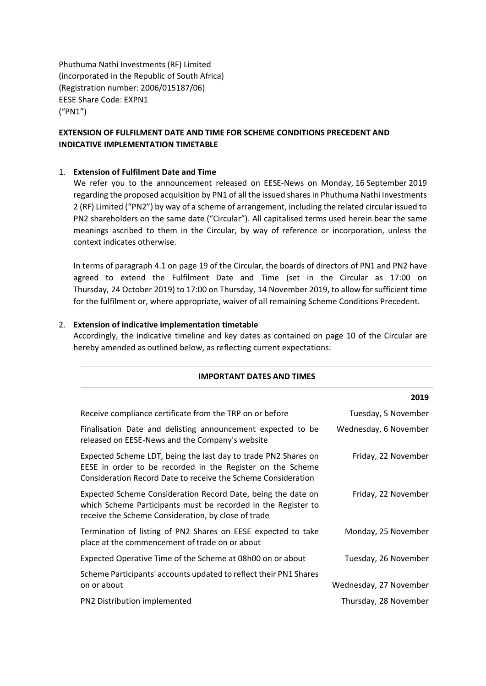Phuthuma Nathi Investments (RF) Limited (incorporated in the Republic of South Africa) (Registration number: 2006/015187/06) EESE Share Code: EXPN1 ("PN1")

# **EXTENSION OF FULFILMENT DATE AND TIME FOR SCHEME CONDITIONS PRECEDENT AND INDICATIVE IMPLEMENTATION TIMETABLE**

#### 1. **Extension of Fulfilment Date and Time**

We refer you to the announcement released on EESE-News on Monday, 16 September 2019 regarding the proposed acquisition by PN1 of all the issued shares in Phuthuma Nathi Investments 2 (RF) Limited ("PN2") by way of a scheme of arrangement, including the related circular issued to PN2 shareholders on the same date ("Circular"). All capitalised terms used herein bear the same meanings ascribed to them in the Circular, by way of reference or incorporation, unless the context indicates otherwise.

In terms of paragraph 4.1 on page 19 of the Circular, the boards of directors of PN1 and PN2 have agreed to extend the Fulfilment Date and Time (set in the Circular as 17:00 on Thursday, 24 October 2019) to 17:00 on Thursday, 14 November 2019, to allow for sufficient time for the fulfilment or, where appropriate, waiver of all remaining Scheme Conditions Precedent.

#### 2. **Extension of indicative implementation timetable**

Accordingly, the indicative timeline and key dates as contained on page 10 of the Circular are hereby amended as outlined below, as reflecting current expectations:

**IMPORTANT DATES AND TIMES**

|                                                                                                                                                                                               | 2019                   |
|-----------------------------------------------------------------------------------------------------------------------------------------------------------------------------------------------|------------------------|
| Receive compliance certificate from the TRP on or before                                                                                                                                      | Tuesday, 5 November    |
| Finalisation Date and delisting announcement expected to be<br>released on EESE-News and the Company's website                                                                                | Wednesday, 6 November  |
| Expected Scheme LDT, being the last day to trade PN2 Shares on<br>EESE in order to be recorded in the Register on the Scheme<br>Consideration Record Date to receive the Scheme Consideration | Friday, 22 November    |
| Expected Scheme Consideration Record Date, being the date on<br>which Scheme Participants must be recorded in the Register to<br>receive the Scheme Consideration, by close of trade          | Friday, 22 November    |
| Termination of listing of PN2 Shares on EESE expected to take<br>place at the commencement of trade on or about                                                                               | Monday, 25 November    |
| Expected Operative Time of the Scheme at 08h00 on or about                                                                                                                                    | Tuesday, 26 November   |
| Scheme Participants' accounts updated to reflect their PN1 Shares<br>on or about                                                                                                              | Wednesday, 27 November |
| PN2 Distribution implemented                                                                                                                                                                  | Thursday, 28 November  |